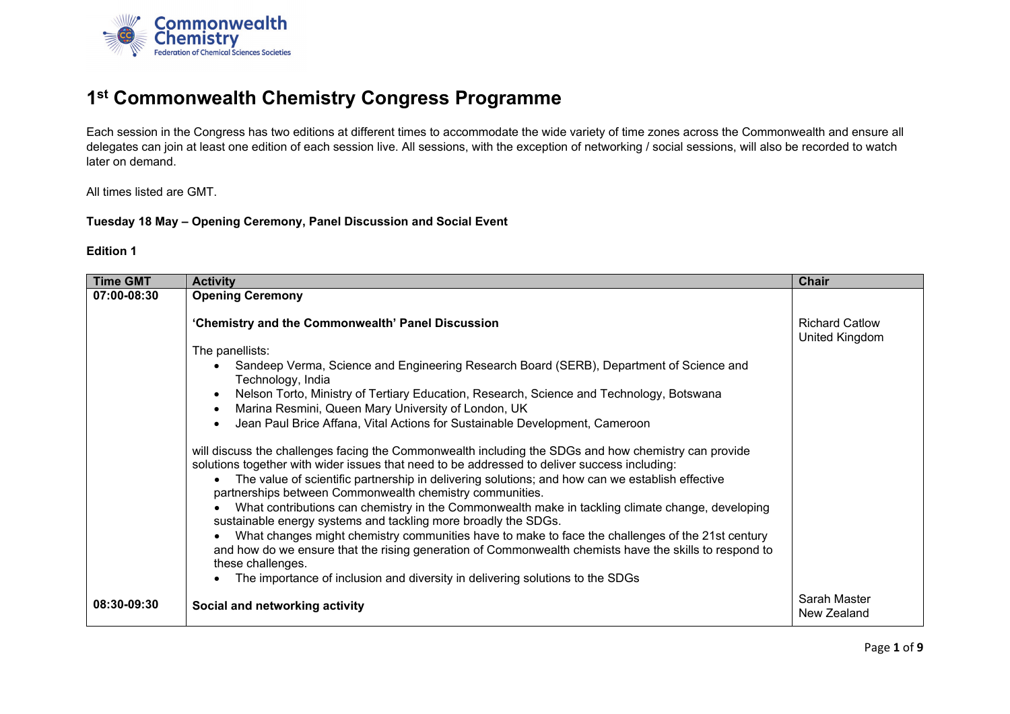

# **1st Commonwealth Chemistry Congress Programme**

Each session in the Congress has two editions at different times to accommodate the wide variety of time zones across the Commonwealth and ensure all delegates can join at least one edition of each session live. All sessions, with the exception of networking / social sessions, will also be recorded to watch later on demand.

All times listed are GMT.

#### **Tuesday 18 May – Opening Ceremony, Panel Discussion and Social Event**

| <b>Time GMT</b> | <b>Activity</b>                                                                                                                                                                                            | <b>Chair</b>                            |
|-----------------|------------------------------------------------------------------------------------------------------------------------------------------------------------------------------------------------------------|-----------------------------------------|
| 07:00-08:30     | <b>Opening Ceremony</b>                                                                                                                                                                                    |                                         |
|                 | 'Chemistry and the Commonwealth' Panel Discussion                                                                                                                                                          | <b>Richard Catlow</b><br>United Kingdom |
|                 | The panellists:                                                                                                                                                                                            |                                         |
|                 | Sandeep Verma, Science and Engineering Research Board (SERB), Department of Science and<br>Technology, India                                                                                               |                                         |
|                 | Nelson Torto, Ministry of Tertiary Education, Research, Science and Technology, Botswana<br>$\bullet$<br>Marina Resmini, Queen Mary University of London, UK<br>$\bullet$                                  |                                         |
|                 | Jean Paul Brice Affana, Vital Actions for Sustainable Development, Cameroon<br>$\bullet$                                                                                                                   |                                         |
|                 | will discuss the challenges facing the Commonwealth including the SDGs and how chemistry can provide<br>solutions together with wider issues that need to be addressed to deliver success including:       |                                         |
|                 | The value of scientific partnership in delivering solutions; and how can we establish effective<br>partnerships between Commonwealth chemistry communities.                                                |                                         |
|                 | What contributions can chemistry in the Commonwealth make in tackling climate change, developing<br>sustainable energy systems and tackling more broadly the SDGs.                                         |                                         |
|                 | What changes might chemistry communities have to make to face the challenges of the 21st century<br>and how do we ensure that the rising generation of Commonwealth chemists have the skills to respond to |                                         |
|                 | these challenges.                                                                                                                                                                                          |                                         |
|                 | The importance of inclusion and diversity in delivering solutions to the SDGs                                                                                                                              |                                         |
| 08:30-09:30     | Social and networking activity                                                                                                                                                                             | Sarah Master<br>New Zealand             |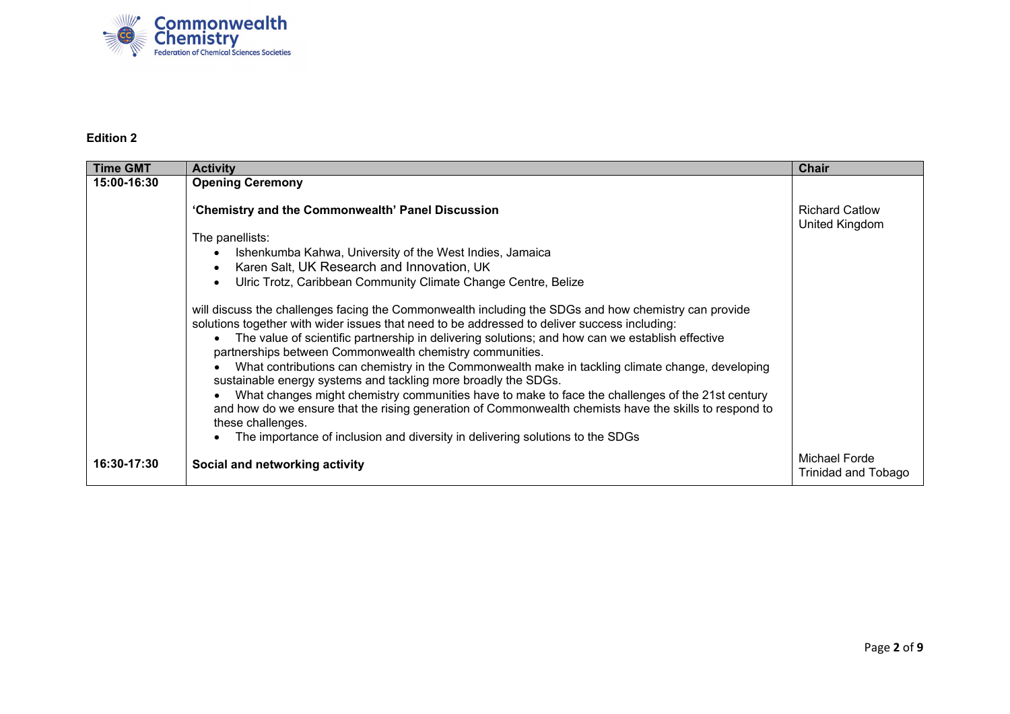

| <b>Time GMT</b> | <b>Activity</b>                                                                                                                                                                                                                                                                                                                                                                                                                                                                                                                                                                                                                                                                                                                                                                                                                                               | <b>Chair</b>                            |
|-----------------|---------------------------------------------------------------------------------------------------------------------------------------------------------------------------------------------------------------------------------------------------------------------------------------------------------------------------------------------------------------------------------------------------------------------------------------------------------------------------------------------------------------------------------------------------------------------------------------------------------------------------------------------------------------------------------------------------------------------------------------------------------------------------------------------------------------------------------------------------------------|-----------------------------------------|
| 15:00-16:30     | <b>Opening Ceremony</b>                                                                                                                                                                                                                                                                                                                                                                                                                                                                                                                                                                                                                                                                                                                                                                                                                                       |                                         |
|                 | 'Chemistry and the Commonwealth' Panel Discussion                                                                                                                                                                                                                                                                                                                                                                                                                                                                                                                                                                                                                                                                                                                                                                                                             | <b>Richard Catlow</b><br>United Kingdom |
|                 | The panellists:<br>Ishenkumba Kahwa, University of the West Indies, Jamaica<br>Karen Salt, UK Research and Innovation, UK<br>Ulric Trotz, Caribbean Community Climate Change Centre, Belize                                                                                                                                                                                                                                                                                                                                                                                                                                                                                                                                                                                                                                                                   |                                         |
|                 | will discuss the challenges facing the Commonwealth including the SDGs and how chemistry can provide<br>solutions together with wider issues that need to be addressed to deliver success including:<br>The value of scientific partnership in delivering solutions; and how can we establish effective<br>partnerships between Commonwealth chemistry communities.<br>What contributions can chemistry in the Commonwealth make in tackling climate change, developing<br>sustainable energy systems and tackling more broadly the SDGs.<br>What changes might chemistry communities have to make to face the challenges of the 21st century<br>and how do we ensure that the rising generation of Commonwealth chemists have the skills to respond to<br>these challenges.<br>The importance of inclusion and diversity in delivering solutions to the SDGs |                                         |
| 16:30-17:30     | Social and networking activity                                                                                                                                                                                                                                                                                                                                                                                                                                                                                                                                                                                                                                                                                                                                                                                                                                | Michael Forde<br>Trinidad and Tobago    |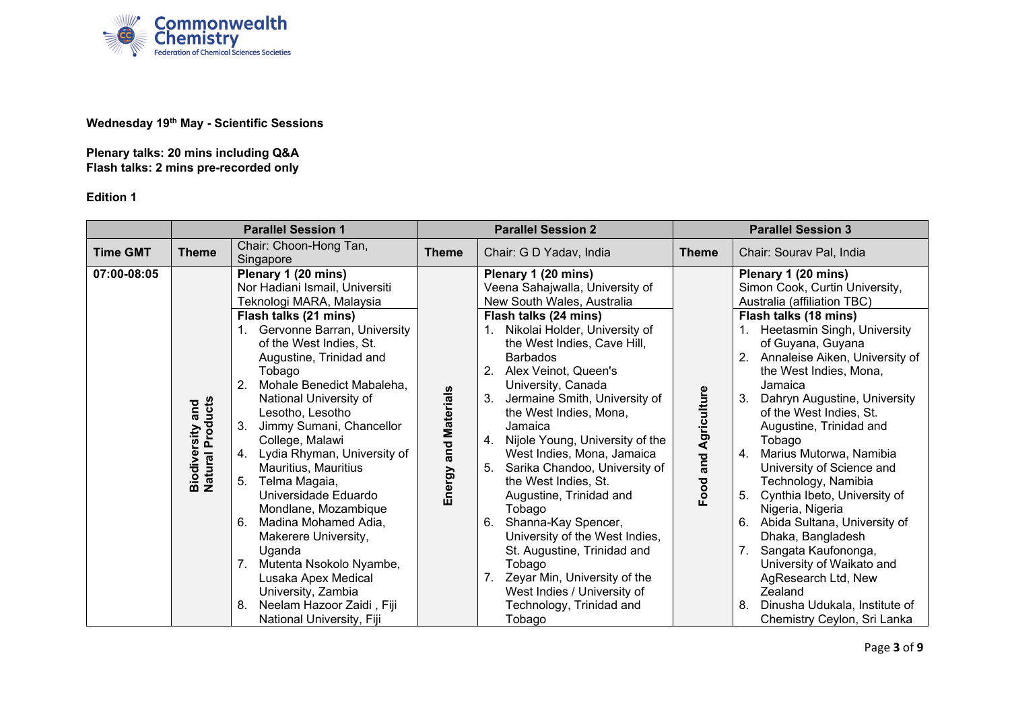

### **Wednesday 19th May - Scientific Sessions**

**Plenary talks: 20 mins including Q&A Flash talks: 2 mins pre-recorded only**

|                 | <b>Parallel Session 1</b>                    |                                                                                                                                                                                                                                                                                                                                                                                                                                                                                                                                                                                                                                                                                       |                      | <b>Parallel Session 2</b>                                                                                                                                                                                                                                                                                                                                                                                                                                                                                                                                                                                                                                                                                          |                      | <b>Parallel Session 3</b>                                                                                                                                                                                                                                                                                                                                                                                                                                                                                                                                                                                                                                                                                                        |
|-----------------|----------------------------------------------|---------------------------------------------------------------------------------------------------------------------------------------------------------------------------------------------------------------------------------------------------------------------------------------------------------------------------------------------------------------------------------------------------------------------------------------------------------------------------------------------------------------------------------------------------------------------------------------------------------------------------------------------------------------------------------------|----------------------|--------------------------------------------------------------------------------------------------------------------------------------------------------------------------------------------------------------------------------------------------------------------------------------------------------------------------------------------------------------------------------------------------------------------------------------------------------------------------------------------------------------------------------------------------------------------------------------------------------------------------------------------------------------------------------------------------------------------|----------------------|----------------------------------------------------------------------------------------------------------------------------------------------------------------------------------------------------------------------------------------------------------------------------------------------------------------------------------------------------------------------------------------------------------------------------------------------------------------------------------------------------------------------------------------------------------------------------------------------------------------------------------------------------------------------------------------------------------------------------------|
| <b>Time GMT</b> | <b>Theme</b>                                 | Chair: Choon-Hong Tan,<br>Singapore                                                                                                                                                                                                                                                                                                                                                                                                                                                                                                                                                                                                                                                   | <b>Theme</b>         | Chair: G D Yadav, India                                                                                                                                                                                                                                                                                                                                                                                                                                                                                                                                                                                                                                                                                            | <b>Theme</b>         | Chair: Sourav Pal, India                                                                                                                                                                                                                                                                                                                                                                                                                                                                                                                                                                                                                                                                                                         |
| 07:00-08:05     | <b>Biodiversity and<br/>Natural Products</b> | Plenary 1 (20 mins)<br>Nor Hadiani Ismail, Universiti<br>Teknologi MARA, Malaysia<br>Flash talks (21 mins)<br>Gervonne Barran, University<br>of the West Indies, St.<br>Augustine, Trinidad and<br>Tobago<br>Mohale Benedict Mabaleha,<br>2.<br>National University of<br>Lesotho, Lesotho<br>Jimmy Sumani, Chancellor<br>College, Malawi<br>Lydia Rhyman, University of<br>4.<br>Mauritius, Mauritius<br>Telma Magaia,<br>5.<br>Universidade Eduardo<br>Mondlane, Mozambique<br>Madina Mohamed Adia,<br>6.<br>Makerere University,<br>Uganda<br>Mutenta Nsokolo Nyambe,<br>Lusaka Apex Medical<br>University, Zambia<br>8.<br>Neelam Hazoor Zaidi, Fiji<br>National University, Fiji | Energy and Materials | Plenary 1 (20 mins)<br>Veena Sahajwalla, University of<br>New South Wales, Australia<br>Flash talks (24 mins)<br>Nikolai Holder, University of<br>the West Indies, Cave Hill,<br><b>Barbados</b><br>2.<br>Alex Veinot, Queen's<br>University, Canada<br>Jermaine Smith, University of<br>the West Indies, Mona,<br>Jamaica<br>Nijole Young, University of the<br>4.<br>West Indies, Mona, Jamaica<br>Sarika Chandoo, University of<br>5.<br>the West Indies, St.<br>Augustine, Trinidad and<br>Tobago<br>Shanna-Kay Spencer,<br>6.<br>University of the West Indies,<br>St. Augustine, Trinidad and<br>Tobago<br>Zeyar Min, University of the<br>West Indies / University of<br>Technology, Trinidad and<br>Tobago | Food and Agriculture | Plenary 1 (20 mins)<br>Simon Cook, Curtin University,<br>Australia (affiliation TBC)<br>Flash talks (18 mins)<br>Heetasmin Singh, University<br>of Guyana, Guyana<br>2.<br>Annaleise Aiken, University of<br>the West Indies, Mona,<br>Jamaica<br>3.<br>Dahryn Augustine, University<br>of the West Indies, St.<br>Augustine, Trinidad and<br>Tobago<br>Marius Mutorwa, Namibia<br>4.<br>University of Science and<br>Technology, Namibia<br>Cynthia Ibeto, University of<br>5.<br>Nigeria, Nigeria<br>Abida Sultana, University of<br>6.<br>Dhaka, Bangladesh<br>Sangata Kaufononga,<br>7.<br>University of Waikato and<br>AgResearch Ltd, New<br>Zealand<br>Dinusha Udukala, Institute of<br>8.<br>Chemistry Ceylon, Sri Lanka |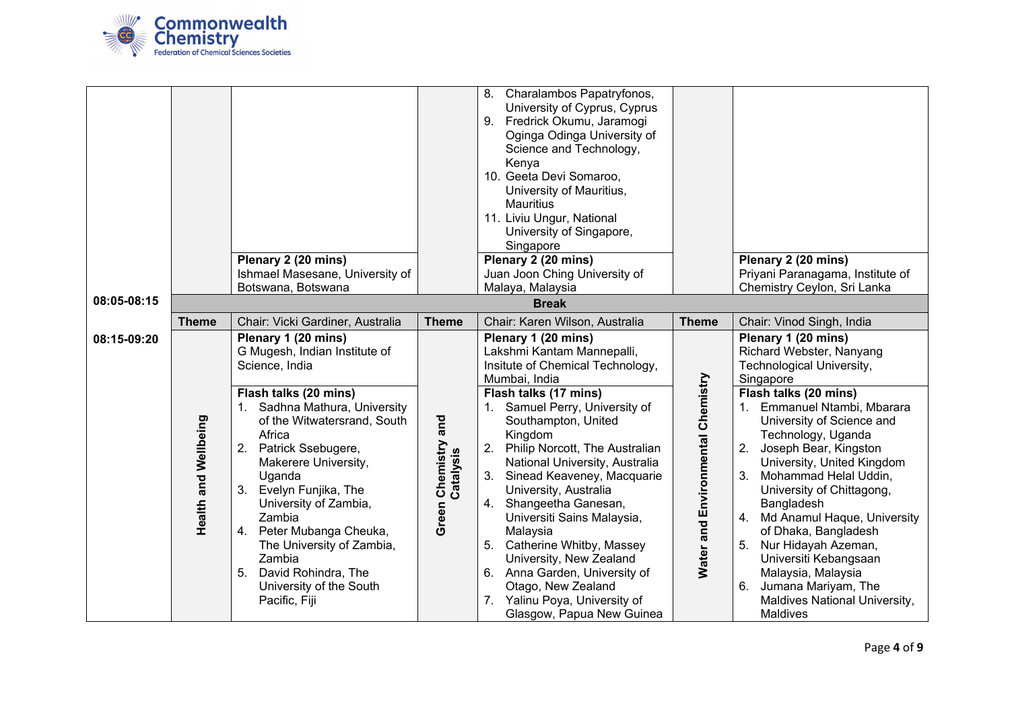

|             |                             |                                                                                                                                                                                                                                                                                                                                                                                                                                               |                                        | Charalambos Papatryfonos,<br>8.<br>University of Cyprus, Cyprus<br>Fredrick Okumu, Jaramogi<br>9.<br>Oginga Odinga University of<br>Science and Technology,<br>Kenya<br>10. Geeta Devi Somaroo,                                                                                                                                                                                                                                                                                                                                                                                                  |                                   |                                                                                                                                                                                                                                                                                                                                                                                                                                                                                                                                                                |  |  |
|-------------|-----------------------------|-----------------------------------------------------------------------------------------------------------------------------------------------------------------------------------------------------------------------------------------------------------------------------------------------------------------------------------------------------------------------------------------------------------------------------------------------|----------------------------------------|--------------------------------------------------------------------------------------------------------------------------------------------------------------------------------------------------------------------------------------------------------------------------------------------------------------------------------------------------------------------------------------------------------------------------------------------------------------------------------------------------------------------------------------------------------------------------------------------------|-----------------------------------|----------------------------------------------------------------------------------------------------------------------------------------------------------------------------------------------------------------------------------------------------------------------------------------------------------------------------------------------------------------------------------------------------------------------------------------------------------------------------------------------------------------------------------------------------------------|--|--|
|             |                             |                                                                                                                                                                                                                                                                                                                                                                                                                                               |                                        | University of Mauritius,                                                                                                                                                                                                                                                                                                                                                                                                                                                                                                                                                                         |                                   |                                                                                                                                                                                                                                                                                                                                                                                                                                                                                                                                                                |  |  |
|             |                             |                                                                                                                                                                                                                                                                                                                                                                                                                                               |                                        | <b>Mauritius</b>                                                                                                                                                                                                                                                                                                                                                                                                                                                                                                                                                                                 |                                   |                                                                                                                                                                                                                                                                                                                                                                                                                                                                                                                                                                |  |  |
|             |                             |                                                                                                                                                                                                                                                                                                                                                                                                                                               |                                        | 11. Liviu Ungur, National<br>University of Singapore,                                                                                                                                                                                                                                                                                                                                                                                                                                                                                                                                            |                                   |                                                                                                                                                                                                                                                                                                                                                                                                                                                                                                                                                                |  |  |
|             |                             |                                                                                                                                                                                                                                                                                                                                                                                                                                               |                                        | Singapore                                                                                                                                                                                                                                                                                                                                                                                                                                                                                                                                                                                        |                                   |                                                                                                                                                                                                                                                                                                                                                                                                                                                                                                                                                                |  |  |
|             |                             | Plenary 2 (20 mins)                                                                                                                                                                                                                                                                                                                                                                                                                           |                                        | Plenary 2 (20 mins)                                                                                                                                                                                                                                                                                                                                                                                                                                                                                                                                                                              |                                   | Plenary 2 (20 mins)                                                                                                                                                                                                                                                                                                                                                                                                                                                                                                                                            |  |  |
|             |                             | Ishmael Masesane, University of                                                                                                                                                                                                                                                                                                                                                                                                               |                                        | Juan Joon Ching University of                                                                                                                                                                                                                                                                                                                                                                                                                                                                                                                                                                    |                                   | Priyani Paranagama, Institute of                                                                                                                                                                                                                                                                                                                                                                                                                                                                                                                               |  |  |
|             |                             | Botswana, Botswana                                                                                                                                                                                                                                                                                                                                                                                                                            |                                        | Malaya, Malaysia                                                                                                                                                                                                                                                                                                                                                                                                                                                                                                                                                                                 |                                   | Chemistry Ceylon, Sri Lanka                                                                                                                                                                                                                                                                                                                                                                                                                                                                                                                                    |  |  |
| 08:05-08:15 |                             |                                                                                                                                                                                                                                                                                                                                                                                                                                               |                                        | <b>Break</b>                                                                                                                                                                                                                                                                                                                                                                                                                                                                                                                                                                                     |                                   |                                                                                                                                                                                                                                                                                                                                                                                                                                                                                                                                                                |  |  |
|             | <b>Theme</b>                | Chair: Vicki Gardiner, Australia                                                                                                                                                                                                                                                                                                                                                                                                              | <b>Theme</b>                           | Chair: Karen Wilson, Australia                                                                                                                                                                                                                                                                                                                                                                                                                                                                                                                                                                   | <b>Theme</b>                      | Chair: Vinod Singh, India                                                                                                                                                                                                                                                                                                                                                                                                                                                                                                                                      |  |  |
| 08:15-09:20 | <b>Health and Wellbeing</b> | Plenary 1 (20 mins)<br>G Mugesh, Indian Institute of<br>Science, India<br>Flash talks (20 mins)<br>1. Sadhna Mathura, University<br>of the Witwatersrand, South<br>Africa<br>2. Patrick Ssebugere,<br>Makerere University,<br>Uganda<br>3. Evelyn Funjika, The<br>University of Zambia,<br>Zambia<br>4. Peter Mubanga Cheuka,<br>The University of Zambia,<br>Zambia<br>David Rohindra, The<br>5.<br>University of the South<br>Pacific, Fiji | and<br>Chemistry<br>Catalysis<br>Green | Plenary 1 (20 mins)<br>Lakshmi Kantam Mannepalli,<br>Insitute of Chemical Technology,<br>Mumbai, India<br>Flash talks (17 mins)<br>1. Samuel Perry, University of<br>Southampton, United<br>Kingdom<br>2.<br>Philip Norcott, The Australian<br>National University, Australia<br>Sinead Keaveney, Macquarie<br>3.<br>University, Australia<br>4. Shangeetha Ganesan,<br>Universiti Sains Malaysia,<br>Malaysia<br>Catherine Whitby, Massey<br>5.<br>University, New Zealand<br>6. Anna Garden, University of<br>Otago, New Zealand<br>7. Yalinu Poya, University of<br>Glasgow, Papua New Guinea | Water and Environmental Chemistry | Plenary 1 (20 mins)<br>Richard Webster, Nanyang<br>Technological University,<br>Singapore<br>Flash talks (20 mins)<br>1. Emmanuel Ntambi, Mbarara<br>University of Science and<br>Technology, Uganda<br>2.<br>Joseph Bear, Kingston<br>University, United Kingdom<br>Mohammad Helal Uddin,<br>3.<br>University of Chittagong,<br>Bangladesh<br>Md Anamul Haque, University<br>4.<br>of Dhaka, Bangladesh<br>Nur Hidayah Azeman,<br>5.<br>Universiti Kebangsaan<br>Malaysia, Malaysia<br>Jumana Mariyam, The<br>6.<br>Maldives National University,<br>Maldives |  |  |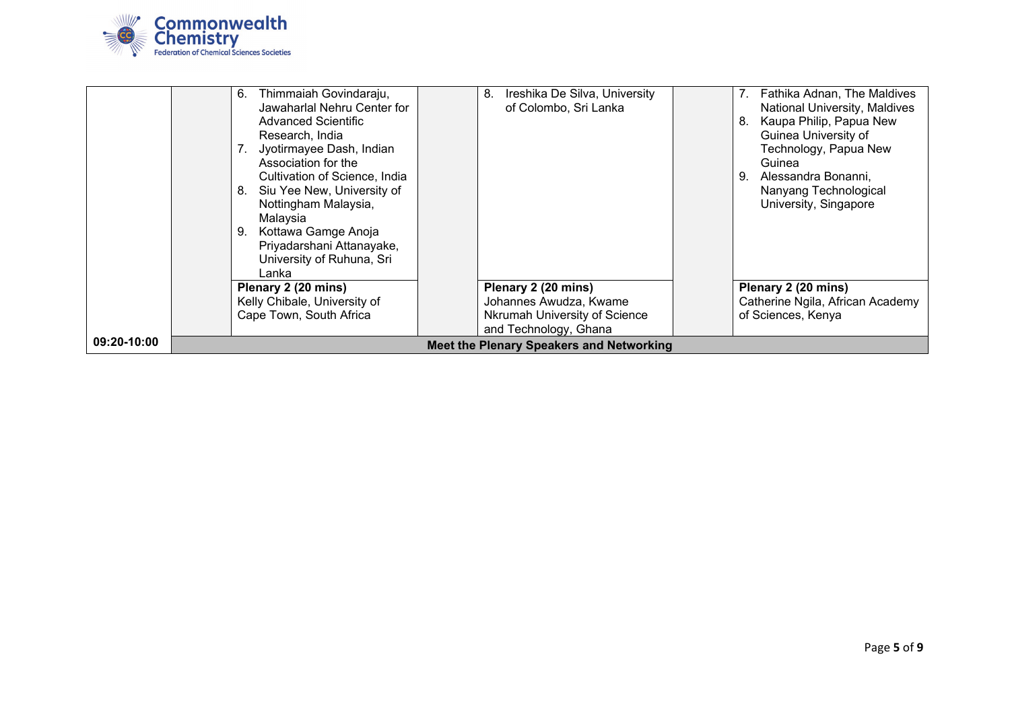

|             | Thimmaiah Govindaraju,<br>6.     | Ireshika De Silva, University<br>8.      | Fathika Adnan, The Maldives      |
|-------------|----------------------------------|------------------------------------------|----------------------------------|
|             | Jawaharlal Nehru Center for      | of Colombo, Sri Lanka                    | National University, Maldives    |
|             | Advanced Scientific              |                                          | Kaupa Philip, Papua New<br>8.    |
|             | Research, India                  |                                          | Guinea University of             |
|             | Jyotirmayee Dash, Indian         |                                          | Technology, Papua New            |
|             | Association for the              |                                          | Guinea                           |
|             | Cultivation of Science, India    |                                          | 9.<br>Alessandra Bonanni.        |
|             | Siu Yee New, University of<br>8. |                                          | Nanyang Technological            |
|             | Nottingham Malaysia,             |                                          | University, Singapore            |
|             | Malaysia                         |                                          |                                  |
|             | . Kottawa Gamge Anoja<br>9.      |                                          |                                  |
|             | Priyadarshani Attanayake,        |                                          |                                  |
|             | University of Ruhuna, Sri        |                                          |                                  |
|             | Lanka                            |                                          |                                  |
|             | Plenary 2 (20 mins)              | Plenary 2 (20 mins)                      | Plenary 2 (20 mins)              |
|             | Kelly Chibale, University of     | Johannes Awudza, Kwame                   | Catherine Ngila, African Academy |
|             | Cape Town, South Africa          | Nkrumah University of Science            | of Sciences, Kenya               |
|             |                                  | and Technology, Ghana                    |                                  |
| 09:20-10:00 |                                  | Meet the Plenary Speakers and Networking |                                  |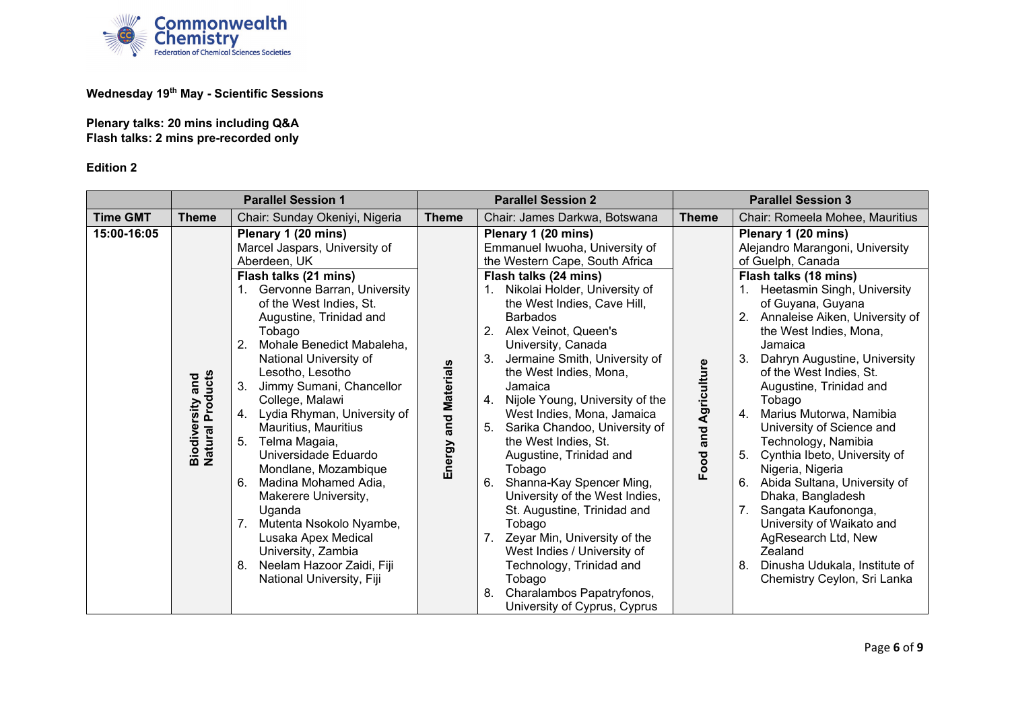

## **Wednesday 19th May - Scientific Sessions**

**Plenary talks: 20 mins including Q&A Flash talks: 2 mins pre-recorded only**

|                 | <b>Parallel Session 1</b>                          |                                                                                                                                                                                                                                                                                                                                                                                                                                                                                                                                                                                                                                                                                | <b>Parallel Session 2</b> |                                                                                                                                                                                                                                                                                                                                                                                                                                                                                                                                                                                                                                                                                                                                                                                                     |                      | <b>Parallel Session 3</b>                                                                                                                                                                                                                                                                                                                                                                                                                                                                                                                                                                                                                                                                                               |
|-----------------|----------------------------------------------------|--------------------------------------------------------------------------------------------------------------------------------------------------------------------------------------------------------------------------------------------------------------------------------------------------------------------------------------------------------------------------------------------------------------------------------------------------------------------------------------------------------------------------------------------------------------------------------------------------------------------------------------------------------------------------------|---------------------------|-----------------------------------------------------------------------------------------------------------------------------------------------------------------------------------------------------------------------------------------------------------------------------------------------------------------------------------------------------------------------------------------------------------------------------------------------------------------------------------------------------------------------------------------------------------------------------------------------------------------------------------------------------------------------------------------------------------------------------------------------------------------------------------------------------|----------------------|-------------------------------------------------------------------------------------------------------------------------------------------------------------------------------------------------------------------------------------------------------------------------------------------------------------------------------------------------------------------------------------------------------------------------------------------------------------------------------------------------------------------------------------------------------------------------------------------------------------------------------------------------------------------------------------------------------------------------|
| <b>Time GMT</b> | <b>Theme</b>                                       | Chair: Sunday Okeniyi, Nigeria                                                                                                                                                                                                                                                                                                                                                                                                                                                                                                                                                                                                                                                 | <b>Theme</b>              | Chair: James Darkwa, Botswana                                                                                                                                                                                                                                                                                                                                                                                                                                                                                                                                                                                                                                                                                                                                                                       | <b>Theme</b>         | Chair: Romeela Mohee, Mauritius                                                                                                                                                                                                                                                                                                                                                                                                                                                                                                                                                                                                                                                                                         |
| 15:00-16:05     | <b>Natural Products</b><br><b>Biodiversity and</b> | Plenary 1 (20 mins)<br>Marcel Jaspars, University of<br>Aberdeen, UK<br>Flash talks (21 mins)<br>1. Gervonne Barran, University<br>of the West Indies, St.<br>Augustine, Trinidad and<br>Tobago<br>Mohale Benedict Mabaleha,<br>2.<br>National University of<br>Lesotho, Lesotho<br>3.<br>Jimmy Sumani, Chancellor<br>College, Malawi<br>4. Lydia Rhyman, University of<br>Mauritius, Mauritius<br>Telma Magaia,<br>5.<br>Universidade Eduardo<br>Mondlane, Mozambique<br>6.<br>Madina Mohamed Adia,<br>Makerere University,<br>Uganda<br>Mutenta Nsokolo Nyambe,<br>Lusaka Apex Medical<br>University, Zambia<br>Neelam Hazoor Zaidi, Fiji<br>8.<br>National University, Fiji | Energy and Materials      | Plenary 1 (20 mins)<br>Emmanuel Iwuoha, University of<br>the Western Cape, South Africa<br>Flash talks (24 mins)<br>Nikolai Holder, University of<br>the West Indies, Cave Hill,<br><b>Barbados</b><br>2.<br>Alex Veinot, Queen's<br>University, Canada<br>3.<br>Jermaine Smith, University of<br>the West Indies, Mona,<br>Jamaica<br>Nijole Young, University of the<br>4.<br>West Indies, Mona, Jamaica<br>5.<br>Sarika Chandoo, University of<br>the West Indies, St.<br>Augustine, Trinidad and<br>Tobago<br>Shanna-Kay Spencer Ming,<br>6.<br>University of the West Indies,<br>St. Augustine, Trinidad and<br>Tobago<br>Zeyar Min, University of the<br>West Indies / University of<br>Technology, Trinidad and<br>Tobago<br>Charalambos Papatryfonos,<br>8.<br>University of Cyprus, Cyprus | Food and Agriculture | Plenary 1 (20 mins)<br>Alejandro Marangoni, University<br>of Guelph, Canada<br>Flash talks (18 mins)<br>Heetasmin Singh, University<br>of Guyana, Guyana<br>2.<br>Annaleise Aiken, University of<br>the West Indies, Mona,<br>Jamaica<br>3.<br>Dahryn Augustine, University<br>of the West Indies, St.<br>Augustine, Trinidad and<br>Tobago<br>4.<br>Marius Mutorwa, Namibia<br>University of Science and<br>Technology, Namibia<br>5.<br>Cynthia Ibeto, University of<br>Nigeria, Nigeria<br>6.<br>Abida Sultana, University of<br>Dhaka, Bangladesh<br>7.<br>Sangata Kaufononga,<br>University of Waikato and<br>AgResearch Ltd, New<br>Zealand<br>Dinusha Udukala, Institute of<br>8.<br>Chemistry Ceylon, Sri Lanka |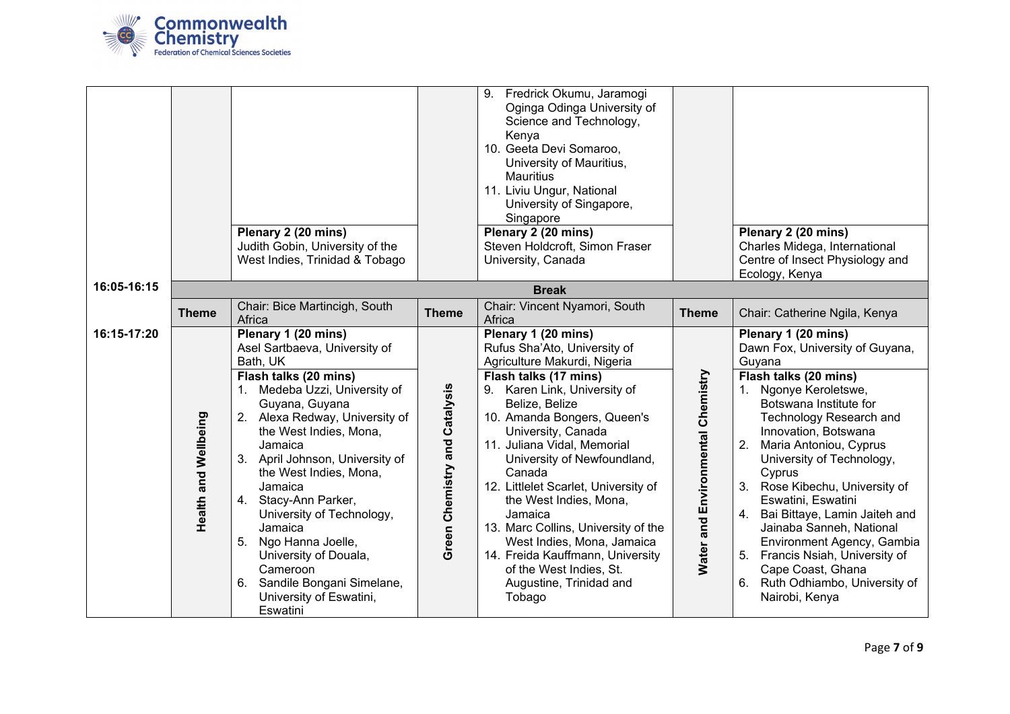

|             |                             | Plenary 2 (20 mins)<br>Judith Gobin, University of the<br>West Indies, Trinidad & Tobago                                                                                                                                                                                                                                                                                                                                                                                                        |                               | 9. Fredrick Okumu, Jaramogi<br>Oginga Odinga University of<br>Science and Technology,<br>Kenya<br>10. Geeta Devi Somaroo,<br>University of Mauritius,<br><b>Mauritius</b><br>11. Liviu Ungur, National<br>University of Singapore,<br>Singapore<br>Plenary 2 (20 mins)<br>Steven Holdcroft, Simon Fraser<br>University, Canada                                                                                                                                                                                                                    |                                   | Plenary 2 (20 mins)<br>Charles Midega, International<br>Centre of Insect Physiology and<br>Ecology, Kenya                                                                                                                                                                                                                                                                                                                                                                                                                                          |
|-------------|-----------------------------|-------------------------------------------------------------------------------------------------------------------------------------------------------------------------------------------------------------------------------------------------------------------------------------------------------------------------------------------------------------------------------------------------------------------------------------------------------------------------------------------------|-------------------------------|---------------------------------------------------------------------------------------------------------------------------------------------------------------------------------------------------------------------------------------------------------------------------------------------------------------------------------------------------------------------------------------------------------------------------------------------------------------------------------------------------------------------------------------------------|-----------------------------------|----------------------------------------------------------------------------------------------------------------------------------------------------------------------------------------------------------------------------------------------------------------------------------------------------------------------------------------------------------------------------------------------------------------------------------------------------------------------------------------------------------------------------------------------------|
| 16:05-16:15 |                             |                                                                                                                                                                                                                                                                                                                                                                                                                                                                                                 |                               | <b>Break</b>                                                                                                                                                                                                                                                                                                                                                                                                                                                                                                                                      |                                   |                                                                                                                                                                                                                                                                                                                                                                                                                                                                                                                                                    |
|             | <b>Theme</b>                | Chair: Bice Martincigh, South<br>Africa                                                                                                                                                                                                                                                                                                                                                                                                                                                         | <b>Theme</b>                  | Chair: Vincent Nyamori, South<br>Africa                                                                                                                                                                                                                                                                                                                                                                                                                                                                                                           | <b>Theme</b>                      | Chair: Catherine Ngila, Kenya                                                                                                                                                                                                                                                                                                                                                                                                                                                                                                                      |
| 16:15-17:20 | <b>Health and Wellbeing</b> | Plenary 1 (20 mins)<br>Asel Sartbaeva, University of<br>Bath, UK<br>Flash talks (20 mins)<br>1. Medeba Uzzi, University of<br>Guyana, Guyana<br>2. Alexa Redway, University of<br>the West Indies, Mona,<br>Jamaica<br>3. April Johnson, University of<br>the West Indies, Mona,<br>Jamaica<br>4. Stacy-Ann Parker,<br>University of Technology,<br>Jamaica<br>5. Ngo Hanna Joelle,<br>University of Douala,<br>Cameroon<br>6. Sandile Bongani Simelane,<br>University of Eswatini,<br>Eswatini | Green Chemistry and Catalysis | Plenary 1 (20 mins)<br>Rufus Sha'Ato, University of<br>Agriculture Makurdi, Nigeria<br>Flash talks (17 mins)<br>9. Karen Link, University of<br>Belize, Belize<br>10. Amanda Bongers, Queen's<br>University, Canada<br>11. Juliana Vidal, Memorial<br>University of Newfoundland,<br>Canada<br>12. Littlelet Scarlet, University of<br>the West Indies, Mona,<br>Jamaica<br>13. Marc Collins, University of the<br>West Indies, Mona, Jamaica<br>14. Freida Kauffmann, University<br>of the West Indies, St.<br>Augustine, Trinidad and<br>Tobago | Water and Environmental Chemistry | Plenary 1 (20 mins)<br>Dawn Fox, University of Guyana,<br>Guyana<br>Flash talks (20 mins)<br>1. Ngonye Keroletswe,<br>Botswana Institute for<br>Technology Research and<br>Innovation, Botswana<br>2.<br>Maria Antoniou, Cyprus<br>University of Technology,<br>Cyprus<br>3. Rose Kibechu, University of<br>Eswatini, Eswatini<br>4.<br>Bai Bittaye, Lamin Jaiteh and<br>Jainaba Sanneh, National<br>Environment Agency, Gambia<br>5.<br>Francis Nsiah, University of<br>Cape Coast, Ghana<br>Ruth Odhiambo, University of<br>6.<br>Nairobi, Kenya |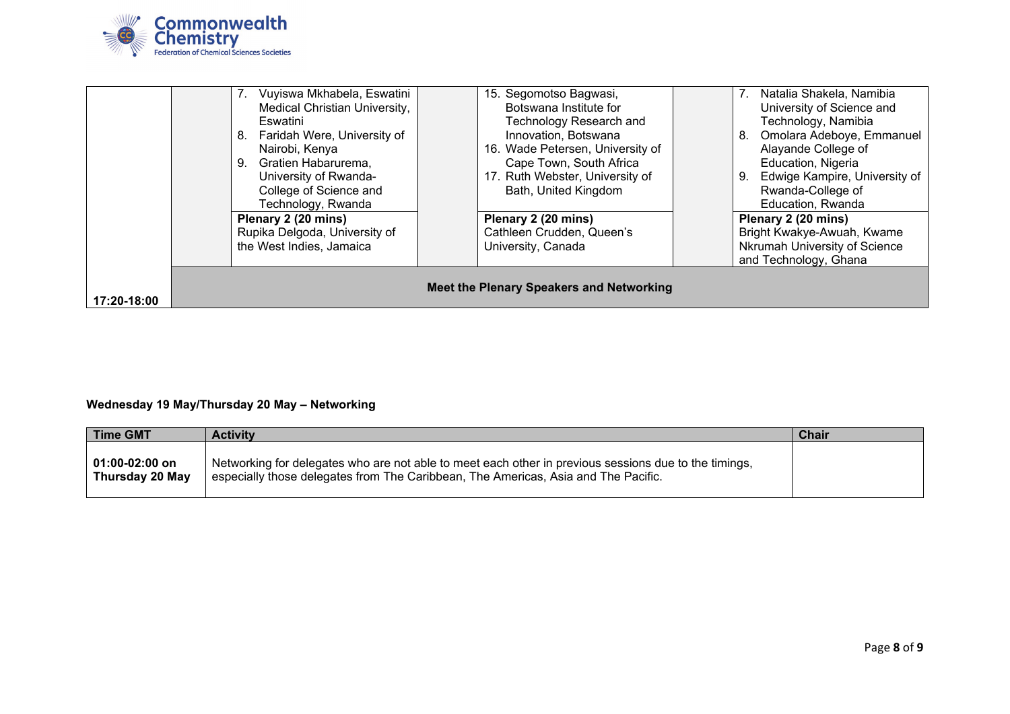

|             | 7. Vuyiswa Mkhabela, Eswatini            | 15. Segomotso Bagwasi,           | Natalia Shakela, Namibia<br>7.      |  |  |
|-------------|------------------------------------------|----------------------------------|-------------------------------------|--|--|
|             | Medical Christian University,            | Botswana Institute for           | University of Science and           |  |  |
|             | Eswatini                                 | Technology Research and          | Technology, Namibia                 |  |  |
|             | 8. Faridah Were, University of           | Innovation, Botswana             | Omolara Adeboye, Emmanuel<br>8.     |  |  |
|             | Nairobi, Kenya                           | 16. Wade Petersen, University of | Alayande College of                 |  |  |
|             | 9. Gratien Habarurema,                   | Cape Town, South Africa          | Education, Nigeria                  |  |  |
|             | University of Rwanda-                    | 17. Ruth Webster, University of  | Edwige Kampire, University of<br>9. |  |  |
|             | College of Science and                   | Bath, United Kingdom             | Rwanda-College of                   |  |  |
|             | Technology, Rwanda                       |                                  | Education, Rwanda                   |  |  |
|             | Plenary 2 (20 mins)                      | Plenary 2 (20 mins)              | Plenary 2 (20 mins)                 |  |  |
|             | Rupika Delgoda, University of            | Cathleen Crudden, Queen's        | Bright Kwakye-Awuah, Kwame          |  |  |
|             | the West Indies, Jamaica                 | University, Canada               | Nkrumah University of Science       |  |  |
|             |                                          |                                  | and Technology, Ghana               |  |  |
|             |                                          |                                  |                                     |  |  |
|             | Meet the Plenary Speakers and Networking |                                  |                                     |  |  |
| 17:20-18:00 |                                          |                                  |                                     |  |  |

# **Wednesday 19 May/Thursday 20 May – Networking**

| Time GMT                          | <b>Activity</b>                                                                                                                                                                             | <b>Chair</b> |
|-----------------------------------|---------------------------------------------------------------------------------------------------------------------------------------------------------------------------------------------|--------------|
| 01:00-02:00 on<br>Thursday 20 May | Networking for delegates who are not able to meet each other in previous sessions due to the timings,<br>especially those delegates from The Caribbean, The Americas, Asia and The Pacific. |              |